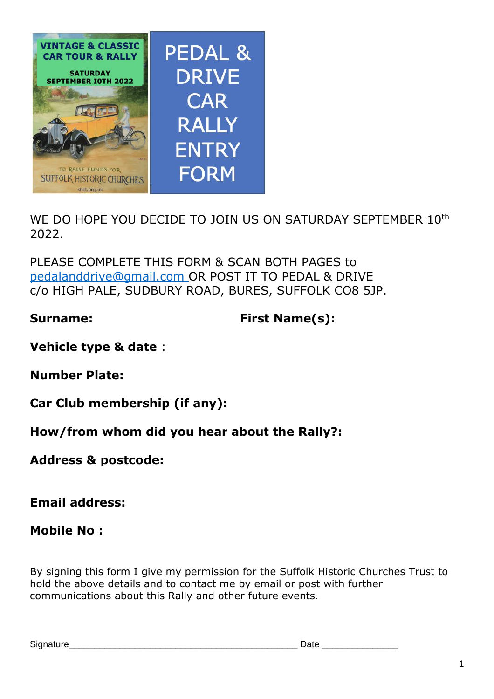

WE DO HOPE YOU DECIDE TO JOIN US ON SATURDAY SEPTEMBER 10<sup>th</sup> 2022.

PLEASE COMPLETE THIS FORM & SCAN BOTH PAGES to [pedalanddrive@gmail.com](mailto:pedalanddrive@gmail.com) OR POST IT TO PEDAL & DRIVE c/o HIGH PALE, SUDBURY ROAD, BURES, SUFFOLK CO8 5JP.

**Surname: First Name(s):**

**Vehicle type & date** :

**Number Plate:**

**Car Club membership (if any):**

**How/from whom did you hear about the Rally?:**

**Address & postcode:**

**Email address:**

**Mobile No :**

By signing this form I give my permission for the Suffolk Historic Churches Trust to hold the above details and to contact me by email or post with further communications about this Rally and other future events.

Signature **Example 20** and 20 and 20 and 20 and 20 and 20 and 20 and 20 and 20 and 20 and 20 and 20 and 20 and 20 and 20 and 20 and 20 and 20 and 20 and 20 and 20 and 20 and 20 and 20 and 20 and 20 and 20 and 20 and 20 and